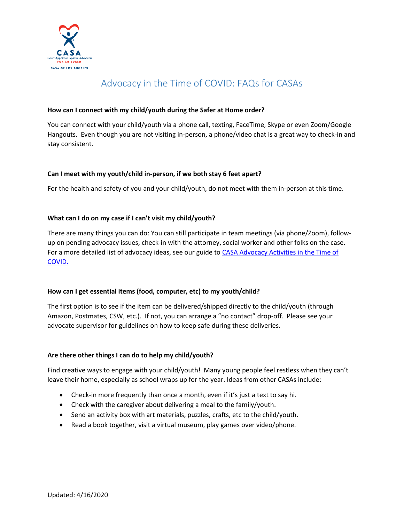

# Advocacy in the Time of COVID: FAQs for CASAs

#### **How can I connect with my child/youth during the Safer at Home order?**

You can connect with your child/youth via a phone call, texting, FaceTime, Skype or even Zoom/Google Hangouts. Even though you are not visiting in-person, a phone/video chat is a great way to check-in and stay consistent.

#### **Can I meet with my youth/child in-person, if we both stay 6 feet apart?**

For the health and safety of you and your child/youth, do not meet with them in-person at this time.

#### **What can I do on my case if I can't visit my child/youth?**

There are many things you can do: You can still participate in team meetings (via phone/Zoom), followup on pending advocacy issues, check-in with the attorney, social worker and other folks on the case. For a more detailed list of advocacy ideas, see our guide t[o CASA Advocacy Activities in the Time of](https://casala.org/wp-content/uploads/2020/03/Advocacy-In-the-Time-of-COVID-19_2020.19.3.pdf)  [COVID.](https://casala.org/wp-content/uploads/2020/03/Advocacy-In-the-Time-of-COVID-19_2020.19.3.pdf)

#### **How can I get essential items (food, computer, etc) to my youth/child?**

The first option is to see if the item can be delivered/shipped directly to the child/youth (through Amazon, Postmates, CSW, etc.). If not, you can arrange a "no contact" drop-off. Please see your advocate supervisor for guidelines on how to keep safe during these deliveries.

#### **Are there other things I can do to help my child/youth?**

Find creative ways to engage with your child/youth! Many young people feel restless when they can't leave their home, especially as school wraps up for the year. Ideas from other CASAs include:

- Check-in more frequently than once a month, even if it's just a text to say hi.
- Check with the caregiver about delivering a meal to the family/youth.
- Send an activity box with art materials, puzzles, crafts, etc to the child/youth.
- Read a book together, visit a virtual museum, play games over video/phone.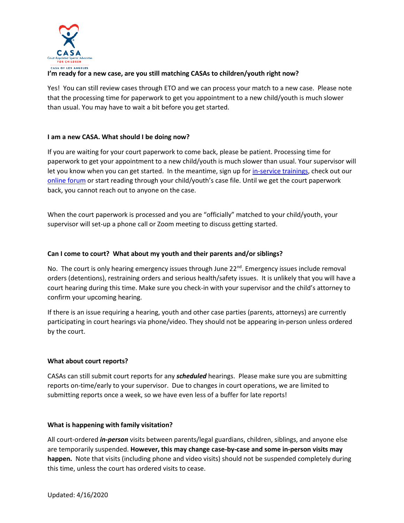

# **I'm ready for a new case, are you still matching CASAs to children/youth right now?**

Yes! You can still review cases through ETO and we can process your match to a new case. Please note that the processing time for paperwork to get you appointment to a new child/youth is much slower than usual. You may have to wait a bit before you get started.

#### **I am a new CASA. What should I be doing now?**

If you are waiting for your court paperwork to come back, please be patient. Processing time for paperwork to get your appointment to a new child/youth is much slower than usual. Your supervisor will let you know when you can get started. In the meantime, sign up for *in-service trainings*, check out our [online forum](https://casala.org/muut-casa-forum/) or start reading through your child/youth's case file. Until we get the court paperwork back, you cannot reach out to anyone on the case.

When the court paperwork is processed and you are "officially" matched to your child/youth, your supervisor will set-up a phone call or Zoom meeting to discuss getting started.

## **Can I come to court? What about my youth and their parents and/or siblings?**

No. The court is only hearing emergency issues through June 22<sup>nd</sup>. Emergency issues include removal orders (detentions), restraining orders and serious health/safety issues. It is unlikely that you will have a court hearing during this time. Make sure you check-in with your supervisor and the child's attorney to confirm your upcoming hearing.

If there is an issue requiring a hearing, youth and other case parties (parents, attorneys) are currently participating in court hearings via phone/video. They should not be appearing in-person unless ordered by the court.

#### **What about court reports?**

CASAs can still submit court reports for any *scheduled* hearings. Please make sure you are submitting reports on-time/early to your supervisor. Due to changes in court operations, we are limited to submitting reports once a week, so we have even less of a buffer for late reports!

#### **What is happening with family visitation?**

All court-ordered *in-person* visits between parents/legal guardians, children, siblings, and anyone else are temporarily suspended. **However, this may change case-by-case and some in-person visits may happen.** Note that visits (including phone and video visits) should not be suspended completely during this time, unless the court has ordered visits to cease.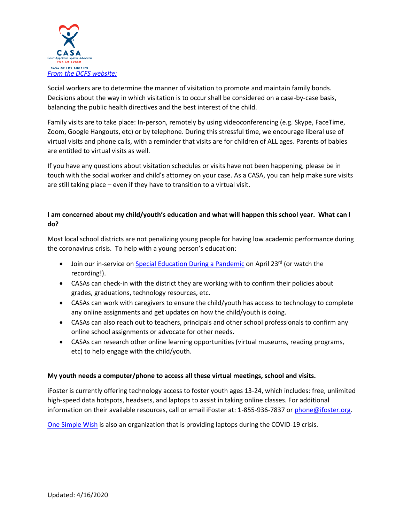

Social workers are to determine the manner of visitation to promote and maintain family bonds. Decisions about the way in which visitation is to occur shall be considered on a case-by-case basis, balancing the public health directives and the best interest of the child.

Family visits are to take place: In-person, remotely by using videoconferencing (e.g. Skype, FaceTime, Zoom, Google Hangouts, etc) or by telephone. During this stressful time, we encourage liberal use of virtual visits and phone calls, with a reminder that visits are for children of ALL ages. Parents of babies are entitled to virtual visits as well.

If you have any questions about visitation schedules or visits have not been happening, please be in touch with the social worker and child's attorney on your case. As a CASA, you can help make sure visits are still taking place – even if they have to transition to a virtual visit.

# **I am concerned about my child/youth's education and what will happen this school year. What can I do?**

Most local school districts are not penalizing young people for having low academic performance during the coronavirus crisis. To help with a young person's education:

- Join our in-service o[n Special Education During a Pandemic](https://casala.org/events/special-education-and-early-intervention-tips-during-covid-19-pandemic-online/) on April 23<sup>rd</sup> (or watch the recording!).
- CASAs can check-in with the district they are working with to confirm their policies about grades, graduations, technology resources, etc.
- CASAs can work with caregivers to ensure the child/youth has access to technology to complete any online assignments and get updates on how the child/youth is doing.
- CASAs can also reach out to teachers, principals and other school professionals to confirm any online school assignments or advocate for other needs.
- CASAs can research other online learning opportunities (virtual museums, reading programs, etc) to help engage with the child/youth.

## **My youth needs a computer/phone to access all these virtual meetings, school and visits.**

iFoster is currently offering technology access to foster youth ages 13-24, which includes: free, unlimited high-speed data hotspots, headsets, and laptops to assist in taking online classes. For additional information on their available resources, call or email iFoster at: 1-855-936-7837 o[r phone@ifoster.org.](mailto:phone@ifoster.org)

[One Simple Wish](https://www.onesimplewish.org/covid19) is also an organization that is providing laptops during the COVID-19 crisis.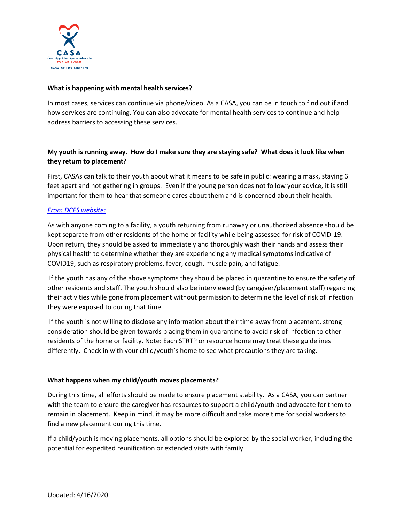

#### **What is happening with mental health services?**

In most cases, services can continue via phone/video. As a CASA, you can be in touch to find out if and how services are continuing. You can also advocate for mental health services to continue and help address barriers to accessing these services.

# **My youth is running away. How do I make sure they are staying safe? What does it look like when they return to placement?**

First, CASAs can talk to their youth about what it means to be safe in public: wearing a mask, staying 6 feet apart and not gathering in groups. Even if the young person does not follow your advice, it is still important for them to hear that someone cares about them and is concerned about their health.

## *[From DCFS website:](https://dcfs.lacounty.gov/wp-content/uploads/2020/04/COVID-19-Contracted-Providers-4.10.2020.pdf)*

As with anyone coming to a facility, a youth returning from runaway or unauthorized absence should be kept separate from other residents of the home or facility while being assessed for risk of COVID-19. Upon return, they should be asked to immediately and thoroughly wash their hands and assess their physical health to determine whether they are experiencing any medical symptoms indicative of COVID19, such as respiratory problems, fever, cough, muscle pain, and fatigue.

If the youth has any of the above symptoms they should be placed in quarantine to ensure the safety of other residents and staff. The youth should also be interviewed (by caregiver/placement staff) regarding their activities while gone from placement without permission to determine the level of risk of infection they were exposed to during that time.

If the youth is not willing to disclose any information about their time away from placement, strong consideration should be given towards placing them in quarantine to avoid risk of infection to other residents of the home or facility. Note: Each STRTP or resource home may treat these guidelines differently. Check in with your child/youth's home to see what precautions they are taking.

#### **What happens when my child/youth moves placements?**

During this time, all efforts should be made to ensure placement stability. As a CASA, you can partner with the team to ensure the caregiver has resources to support a child/youth and advocate for them to remain in placement. Keep in mind, it may be more difficult and take more time for social workers to find a new placement during this time.

If a child/youth is moving placements, all options should be explored by the social worker, including the potential for expedited reunification or extended visits with family.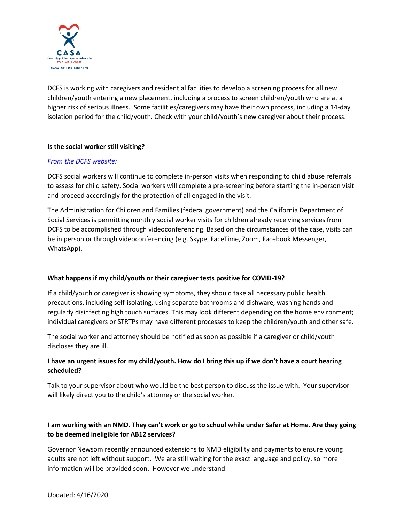

DCFS is working with caregivers and residential facilities to develop a screening process for all new children/youth entering a new placement, including a process to screen children/youth who are at a higher risk of serious illness. Some facilities/caregivers may have their own process, including a 14-day isolation period for the child/youth. Check with your child/youth's new caregiver about their process.

## **Is the social worker still visiting?**

## *[From the DCFS website:](https://dcfs.lacounty.gov/wp-content/uploads/2020/03/COVID19-FAQ_External-Audiences_032320-1.pdf)*

DCFS social workers will continue to complete in-person visits when responding to child abuse referrals to assess for child safety. Social workers will complete a pre-screening before starting the in-person visit and proceed accordingly for the protection of all engaged in the visit.

The Administration for Children and Families (federal government) and the California Department of Social Services is permitting monthly social worker visits for children already receiving services from DCFS to be accomplished through videoconferencing. Based on the circumstances of the case, visits can be in person or through videoconferencing (e.g. Skype, FaceTime, Zoom, Facebook Messenger, WhatsApp).

#### **What happens if my child/youth or their caregiver tests positive for COVID-19?**

If a child/youth or caregiver is showing symptoms, they should take all necessary public health precautions, including self-isolating, using separate bathrooms and dishware, washing hands and regularly disinfecting high touch surfaces. This may look different depending on the home environment; individual caregivers or STRTPs may have different processes to keep the children/youth and other safe.

The social worker and attorney should be notified as soon as possible if a caregiver or child/youth discloses they are ill.

## **I have an urgent issues for my child/youth. How do I bring this up if we don't have a court hearing scheduled?**

Talk to your supervisor about who would be the best person to discuss the issue with. Your supervisor will likely direct you to the child's attorney or the social worker.

# **I am working with an NMD. They can't work or go to school while under Safer at Home. Are they going to be deemed ineligible for AB12 services?**

Governor Newsom recently announced extensions to NMD eligibility and payments to ensure young adults are not left without support. We are still waiting for the exact language and policy, so more information will be provided soon. However we understand: